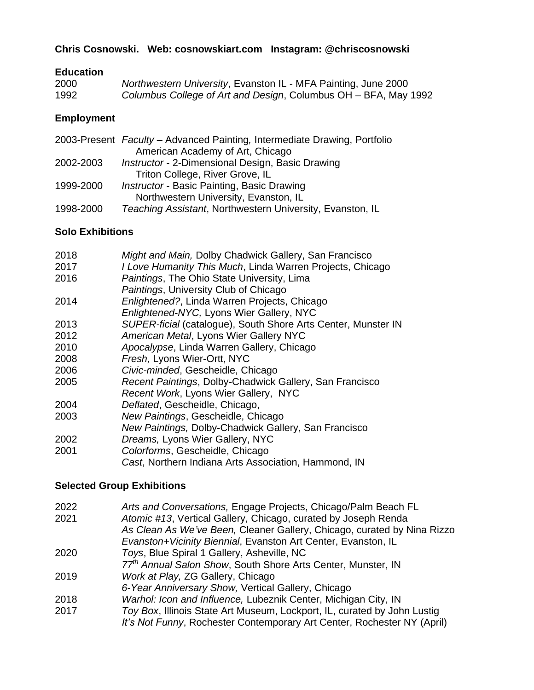## **Chris Cosnowski. Web: cosnowskiart.com Instagram: @chriscosnowski**

#### **Education**

| 2000 | Northwestern University, Evanston IL - MFA Painting, June 2000  |
|------|-----------------------------------------------------------------|
| 1992 | Columbus College of Art and Design, Columbus OH – BFA, May 1992 |

#### **Employment**

|           | 2003-Present Faculty - Advanced Painting, Intermediate Drawing, Portfolio |
|-----------|---------------------------------------------------------------------------|
|           | American Academy of Art, Chicago                                          |
| 2002-2003 | Instructor - 2-Dimensional Design, Basic Drawing                          |
|           | Triton College, River Grove, IL                                           |
| 1999-2000 | <b>Instructor - Basic Painting, Basic Drawing</b>                         |
|           | Northwestern University, Evanston, IL                                     |
| 1998-2000 | Teaching Assistant, Northwestern University, Evanston, IL                 |
|           |                                                                           |

## **Solo Exhibitions**

| 2018 | Might and Main, Dolby Chadwick Gallery, San Francisco         |
|------|---------------------------------------------------------------|
| 2017 | I Love Humanity This Much, Linda Warren Projects, Chicago     |
| 2016 | Paintings, The Ohio State University, Lima                    |
|      | Paintings, University Club of Chicago                         |
| 2014 | Enlightened?, Linda Warren Projects, Chicago                  |
|      | Enlightened-NYC, Lyons Wier Gallery, NYC                      |
| 2013 | SUPER-ficial (catalogue), South Shore Arts Center, Munster IN |
| 2012 | American Metal, Lyons Wier Gallery NYC                        |
| 2010 | Apocalypse, Linda Warren Gallery, Chicago                     |
| 2008 | Fresh, Lyons Wier-Ortt, NYC                                   |
| 2006 | Civic-minded, Gescheidle, Chicago                             |
| 2005 | Recent Paintings, Dolby-Chadwick Gallery, San Francisco       |
|      | Recent Work, Lyons Wier Gallery, NYC                          |
| 2004 | Deflated, Gescheidle, Chicago,                                |
| 2003 | New Paintings, Gescheidle, Chicago                            |
|      | New Paintings, Dolby-Chadwick Gallery, San Francisco          |
| 2002 | Dreams, Lyons Wier Gallery, NYC                               |
| 2001 | Colorforms, Gescheidle, Chicago                               |
|      | Cast, Northern Indiana Arts Association, Hammond, IN          |

#### **Selected Group Exhibitions**

| 2022 | Arts and Conversations, Engage Projects, Chicago/Palm Beach FL                                                                                                                                             |
|------|------------------------------------------------------------------------------------------------------------------------------------------------------------------------------------------------------------|
| 2021 | Atomic #13, Vertical Gallery, Chicago, curated by Joseph Renda<br>As Clean As We've Been, Cleaner Gallery, Chicago, curated by Nina Rizzo<br>Evanston+Vicinity Biennial, Evanston Art Center, Evanston, IL |
| 2020 | Toys, Blue Spiral 1 Gallery, Asheville, NC                                                                                                                                                                 |
|      | 77th Annual Salon Show, South Shore Arts Center, Munster, IN                                                                                                                                               |
| 2019 | Work at Play, ZG Gallery, Chicago                                                                                                                                                                          |
|      | 6-Year Anniversary Show, Vertical Gallery, Chicago                                                                                                                                                         |
| 2018 | Warhol: Icon and Influence, Lubeznik Center, Michigan City, IN                                                                                                                                             |
| 2017 | Toy Box, Illinois State Art Museum, Lockport, IL, curated by John Lustig<br>It's Not Funny, Rochester Contemporary Art Center, Rochester NY (April)                                                        |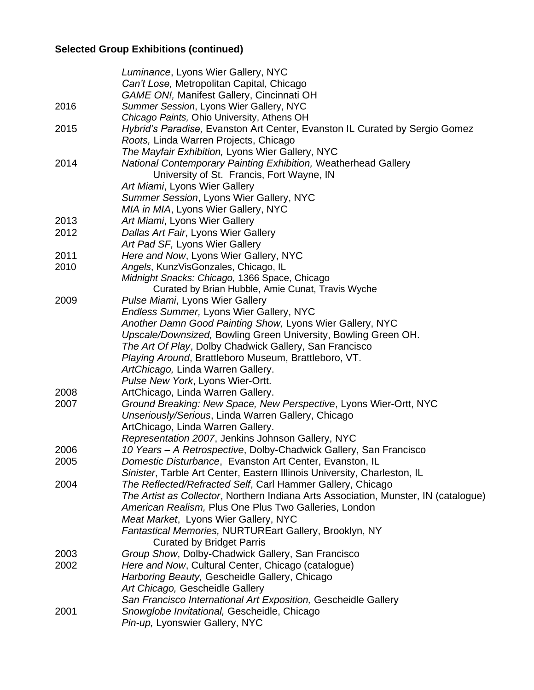# **Selected Group Exhibitions (continued)**

|      | Luminance, Lyons Wier Gallery, NYC                                                  |
|------|-------------------------------------------------------------------------------------|
|      | Can't Lose, Metropolitan Capital, Chicago                                           |
|      | <b>GAME ON!, Manifest Gallery, Cincinnati OH</b>                                    |
| 2016 | Summer Session, Lyons Wier Gallery, NYC                                             |
|      | Chicago Paints, Ohio University, Athens OH                                          |
| 2015 | Hybrid's Paradise, Evanston Art Center, Evanston IL Curated by Sergio Gomez         |
|      | Roots, Linda Warren Projects, Chicago                                               |
|      | The Mayfair Exhibition, Lyons Wier Gallery, NYC                                     |
| 2014 | National Contemporary Painting Exhibition, Weatherhead Gallery                      |
|      | University of St. Francis, Fort Wayne, IN                                           |
|      | Art Miami, Lyons Wier Gallery                                                       |
|      | Summer Session, Lyons Wier Gallery, NYC                                             |
|      | MIA in MIA, Lyons Wier Gallery, NYC                                                 |
| 2013 | Art Miami, Lyons Wier Gallery                                                       |
| 2012 | Dallas Art Fair, Lyons Wier Gallery                                                 |
|      | Art Pad SF, Lyons Wier Gallery                                                      |
| 2011 | Here and Now, Lyons Wier Gallery, NYC                                               |
| 2010 | Angels, KunzVisGonzales, Chicago, IL                                                |
|      | Midnight Snacks: Chicago, 1366 Space, Chicago                                       |
|      | Curated by Brian Hubble, Amie Cunat, Travis Wyche                                   |
| 2009 | Pulse Miami, Lyons Wier Gallery                                                     |
|      | <b>Endless Summer, Lyons Wier Gallery, NYC</b>                                      |
|      | Another Damn Good Painting Show, Lyons Wier Gallery, NYC                            |
|      | Upscale/Downsized, Bowling Green University, Bowling Green OH.                      |
|      | The Art Of Play, Dolby Chadwick Gallery, San Francisco                              |
|      | Playing Around, Brattleboro Museum, Brattleboro, VT.                                |
|      | ArtChicago, Linda Warren Gallery.                                                   |
|      | Pulse New York, Lyons Wier-Ortt.                                                    |
| 2008 | ArtChicago, Linda Warren Gallery.                                                   |
| 2007 | Ground Breaking: New Space, New Perspective, Lyons Wier-Ortt, NYC                   |
|      | Unseriously/Serious, Linda Warren Gallery, Chicago                                  |
|      | ArtChicago, Linda Warren Gallery.                                                   |
|      | Representation 2007, Jenkins Johnson Gallery, NYC                                   |
| 2006 | 10 Years - A Retrospective, Dolby-Chadwick Gallery, San Francisco                   |
| 2005 | Domestic Disturbance, Evanston Art Center, Evanston, IL                             |
|      | Sinister, Tarble Art Center, Eastern Illinois University, Charleston, IL            |
| 2004 | The Reflected/Refracted Self, Carl Hammer Gallery, Chicago                          |
|      | The Artist as Collector, Northern Indiana Arts Association, Munster, IN (catalogue) |
|      | American Realism, Plus One Plus Two Galleries, London                               |
|      | Meat Market, Lyons Wier Gallery, NYC                                                |
|      | Fantastical Memories, NURTUREart Gallery, Brooklyn, NY                              |
|      | <b>Curated by Bridget Parris</b>                                                    |
| 2003 | Group Show, Dolby-Chadwick Gallery, San Francisco                                   |
| 2002 | Here and Now, Cultural Center, Chicago (catalogue)                                  |
|      | Harboring Beauty, Gescheidle Gallery, Chicago                                       |
|      | Art Chicago, Gescheidle Gallery                                                     |
|      | San Francisco International Art Exposition, Gescheidle Gallery                      |
| 2001 | Snowglobe Invitational, Gescheidle, Chicago                                         |
|      | Pin-up, Lyonswier Gallery, NYC                                                      |
|      |                                                                                     |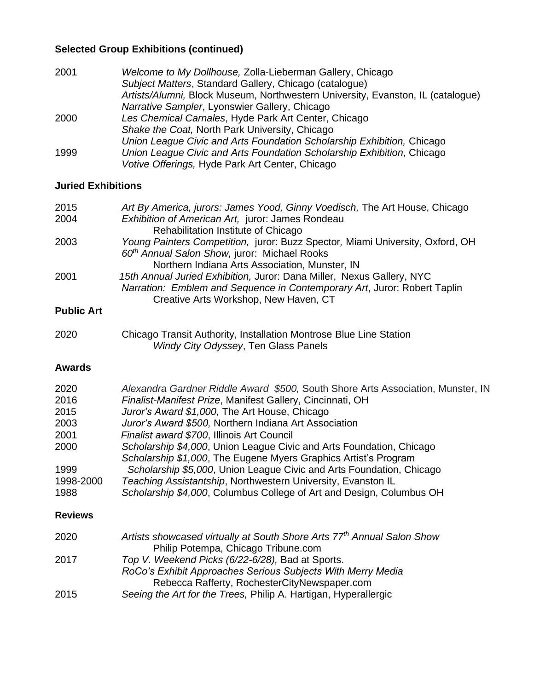## **Selected Group Exhibitions (continued)**

| 2001 | Welcome to My Dollhouse, Zolla-Lieberman Gallery, Chicago                       |
|------|---------------------------------------------------------------------------------|
|      | Subject Matters, Standard Gallery, Chicago (catalogue)                          |
|      | Artists/Alumni, Block Museum, Northwestern University, Evanston, IL (catalogue) |
|      | Narrative Sampler, Lyonswier Gallery, Chicago                                   |
| 2000 | Les Chemical Carnales, Hyde Park Art Center, Chicago                            |
|      | Shake the Coat, North Park University, Chicago                                  |
|      | Union League Civic and Arts Foundation Scholarship Exhibition, Chicago          |
| 1999 | Union League Civic and Arts Foundation Scholarship Exhibition, Chicago          |
|      | Votive Offerings, Hyde Park Art Center, Chicago                                 |

## **Juried Exhibitions**

| 2015                      | Art By America, jurors: James Yood, Ginny Voedisch, The Art House, Chicago    |
|---------------------------|-------------------------------------------------------------------------------|
| 2004                      | Exhibition of American Art, juror: James Rondeau                              |
|                           | Rehabilitation Institute of Chicago                                           |
| 2003                      | Young Painters Competition, juror: Buzz Spector, Miami University, Oxford, OH |
|                           | 60 <sup>th</sup> Annual Salon Show, juror: Michael Rooks                      |
|                           | Northern Indiana Arts Association, Munster, IN                                |
| 2001                      | 15th Annual Juried Exhibition, Juror: Dana Miller, Nexus Gallery, NYC         |
|                           | Narration: Emblem and Sequence in Contemporary Art, Juror: Robert Taplin      |
|                           | Creative Arts Workshop, New Haven, CT                                         |
| $D1$ , $h1$ , $h2$ , $h3$ |                                                                               |

#### **Public Art**

| 2020 | Chicago Transit Authority, Installation Montrose Blue Line Station |
|------|--------------------------------------------------------------------|
|      | Windy City Odyssey, Ten Glass Panels                               |

## **Awards**

| 2020           | Alexandra Gardner Riddle Award \$500, South Shore Arts Association, Munster, IN |
|----------------|---------------------------------------------------------------------------------|
| 2016           | Finalist-Manifest Prize, Manifest Gallery, Cincinnati, OH                       |
| 2015           | Juror's Award \$1,000, The Art House, Chicago                                   |
| 2003           | Juror's Award \$500, Northern Indiana Art Association                           |
| 2001           | Finalist award \$700, Illinois Art Council                                      |
| 2000           | Scholarship \$4,000, Union League Civic and Arts Foundation, Chicago            |
|                | Scholarship \$1,000, The Eugene Myers Graphics Artist's Program                 |
| 1999           | Scholarship \$5,000, Union League Civic and Arts Foundation, Chicago            |
| 1998-2000      | Teaching Assistantship, Northwestern University, Evanston IL                    |
| 1988           | Scholarship \$4,000, Columbus College of Art and Design, Columbus OH            |
| <b>Reviews</b> |                                                                                 |

| Artists showcased virtually at South Shore Arts 77 <sup>th</sup> Annual Salon Show |
|------------------------------------------------------------------------------------|
| Philip Potempa, Chicago Tribune.com                                                |
| Top V. Weekend Picks (6/22-6/28), Bad at Sports.                                   |
| RoCo's Exhibit Approaches Serious Subjects With Merry Media                        |
| Rebecca Rafferty, RochesterCityNewspaper.com                                       |
| Seeing the Art for the Trees, Philip A. Hartigan, Hyperallergic                    |
|                                                                                    |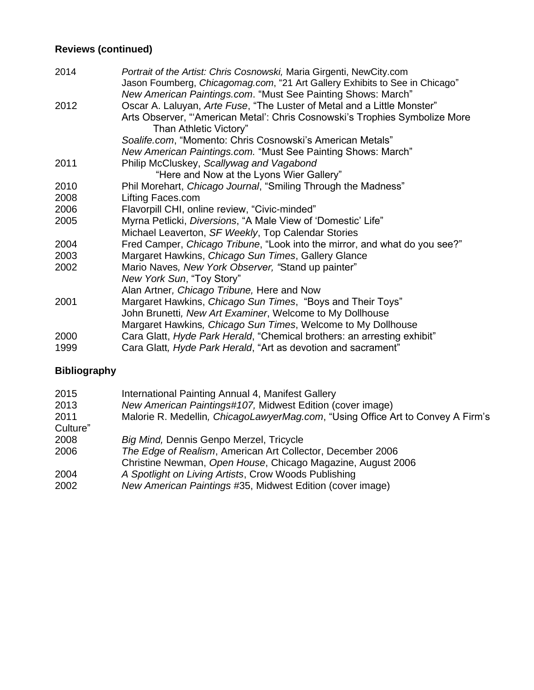## **Reviews (continued)**

| 2014 | Portrait of the Artist: Chris Cosnowski, Maria Girgenti, NewCity.com<br>Jason Foumberg, Chicagomag.com, "21 Art Gallery Exhibits to See in Chicago" |
|------|-----------------------------------------------------------------------------------------------------------------------------------------------------|
|      | New American Paintings.com. "Must See Painting Shows: March"                                                                                        |
| 2012 | Oscar A. Laluyan, Arte Fuse, "The Luster of Metal and a Little Monster"                                                                             |
|      | Arts Observer, "American Metal': Chris Cosnowski's Trophies Symbolize More<br>Than Athletic Victory"                                                |
|      | Soalife.com, "Momento: Chris Cosnowski's American Metals"                                                                                           |
|      | New American Paintings.com. "Must See Painting Shows: March"                                                                                        |
| 2011 | Philip McCluskey, Scallywag and Vagabond                                                                                                            |
|      | "Here and Now at the Lyons Wier Gallery"                                                                                                            |
| 2010 | Phil Morehart, Chicago Journal, "Smiling Through the Madness"                                                                                       |
| 2008 | Lifting Faces.com                                                                                                                                   |
| 2006 | Flavorpill CHI, online review, "Civic-minded"                                                                                                       |
| 2005 | Myrna Petlicki, Diversions, "A Male View of 'Domestic' Life"                                                                                        |
|      | Michael Leaverton, SF Weekly, Top Calendar Stories                                                                                                  |
| 2004 | Fred Camper, Chicago Tribune, "Look into the mirror, and what do you see?"                                                                          |
| 2003 | Margaret Hawkins, Chicago Sun Times, Gallery Glance                                                                                                 |
| 2002 | Mario Naves, New York Observer, "Stand up painter"                                                                                                  |
|      | New York Sun, "Toy Story"                                                                                                                           |
|      | Alan Artner, Chicago Tribune, Here and Now                                                                                                          |
| 2001 | Margaret Hawkins, Chicago Sun Times, "Boys and Their Toys"                                                                                          |
|      | John Brunetti, New Art Examiner, Welcome to My Dollhouse                                                                                            |
|      | Margaret Hawkins, Chicago Sun Times, Welcome to My Dollhouse                                                                                        |
| 2000 | Cara Glatt, Hyde Park Herald, "Chemical brothers: an arresting exhibit"                                                                             |
| 1999 | Cara Glatt, Hyde Park Herald, "Art as devotion and sacrament"                                                                                       |

# **Bibliography**

| 2015     | International Painting Annual 4, Manifest Gallery                               |
|----------|---------------------------------------------------------------------------------|
| 2013     | New American Paintings#107, Midwest Edition (cover image)                       |
| 2011     | Malorie R. Medellin, ChicagoLawyerMag.com, "Using Office Art to Convey A Firm's |
| Culture" |                                                                                 |
| 2008     | Big Mind, Dennis Genpo Merzel, Tricycle                                         |
| 2006     | The Edge of Realism, American Art Collector, December 2006                      |
|          | Christine Newman, Open House, Chicago Magazine, August 2006                     |
| 2004     | A Spotlight on Living Artists, Crow Woods Publishing                            |
| 2002     | New American Paintings #35, Midwest Edition (cover image)                       |
|          |                                                                                 |